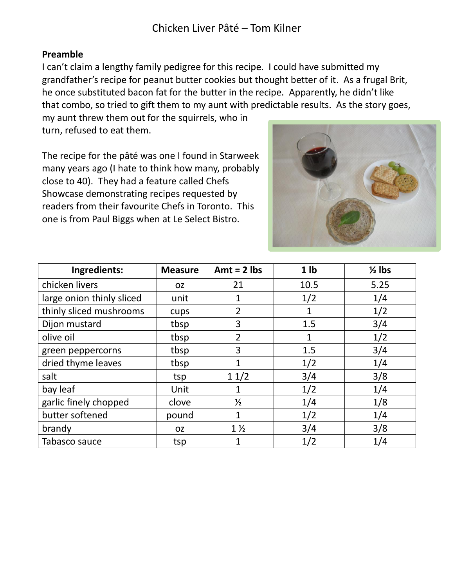## **Preamble**

I can't claim a lengthy family pedigree for this recipe. I could have submitted my grandfather's recipe for peanut butter cookies but thought better of it. As a frugal Brit, he once substituted bacon fat for the butter in the recipe. Apparently, he didn't like that combo, so tried to gift them to my aunt with predictable results. As the story goes,

my aunt threw them out for the squirrels, who in turn, refused to eat them.

The recipe for the pâté was one I found in Starweek many years ago (I hate to think how many, probably close to 40). They had a feature called Chefs Showcase demonstrating recipes requested by readers from their favourite Chefs in Toronto. This one is from Paul Biggs when at Le Select Bistro.



| Ingredients:              | <b>Measure</b> | Amt = $2$ lbs  | 1 <sub>1</sub> | $\frac{1}{2}$ lbs |
|---------------------------|----------------|----------------|----------------|-------------------|
| chicken livers            | <b>OZ</b>      | 21             | 10.5           | 5.25              |
| large onion thinly sliced | unit           | 1              | 1/2            | 1/4               |
| thinly sliced mushrooms   | cups           | $\overline{2}$ | 1              | 1/2               |
| Dijon mustard             | tbsp           | 3              | 1.5            | 3/4               |
| olive oil                 | tbsp           | $\overline{2}$ | 1              | 1/2               |
| green peppercorns         | tbsp           | 3              | 1.5            | 3/4               |
| dried thyme leaves        | tbsp           | 1              | 1/2            | 1/4               |
| salt                      | tsp            | 11/2           | 3/4            | 3/8               |
| bay leaf                  | Unit           | 1              | 1/2            | 1/4               |
| garlic finely chopped     | clove          | $\frac{1}{2}$  | 1/4            | 1/8               |
| butter softened           | pound          | 1              | 1/2            | 1/4               |
| brandy                    | <b>OZ</b>      | $1\frac{1}{2}$ | 3/4            | 3/8               |
| Tabasco sauce             | tsp            | 1              | 1/2            | 1/4               |